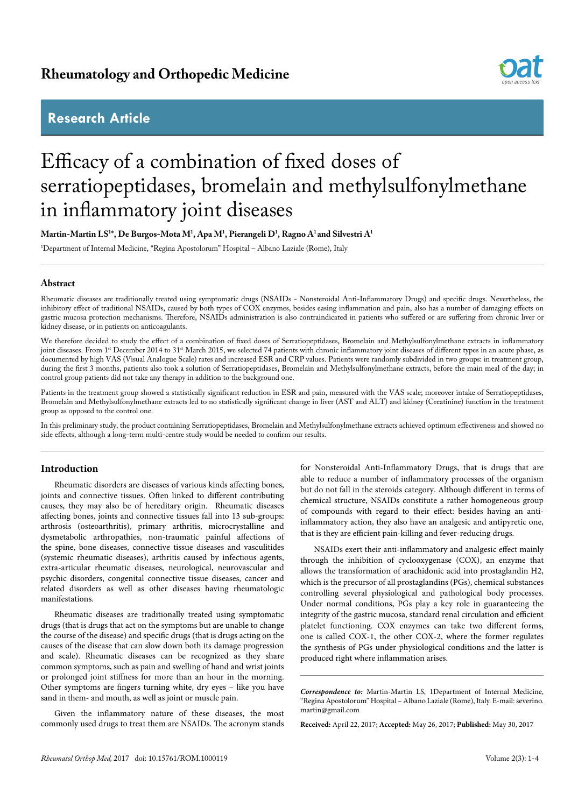## **Rheumatology and Orthopedic Medicine**

## **Research Article**



# Efficacy of a combination of fixed doses of serratiopeptidases, bromelain and methylsulfonylmethane in inflammatory joint diseases

**Martin-Martin LS1 \*, De Burgos-Mota M1 , Apa M1 , Pierangeli D1 , Ragno A1 and Silvestri A1**

1 Department of Internal Medicine, "Regina Apostolorum" Hospital – Albano Laziale (Rome), Italy

### **Abstract**

Rheumatic diseases are traditionally treated using symptomatic drugs (NSAIDs - Nonsteroidal Anti-Inflammatory Drugs) and specific drugs. Nevertheless, the inhibitory effect of traditional NSAIDs, caused by both types of COX enzymes, besides easing inflammation and pain, also has a number of damaging effects on gastric mucosa protection mechanisms. Therefore, NSAIDs administration is also contraindicated in patients who suffered or are suffering from chronic liver or kidney disease, or in patients on anticoagulants.

We therefore decided to study the effect of a combination of fixed doses of Serratiopeptidases, Bromelain and Methylsulfonylmethane extracts in inflammatory joint diseases. From 1st December 2014 to 31st March 2015, we selected 74 patients with chronic inflammatory joint diseases of different types in an acute phase, as documented by high VAS (Visual Analogue Scale) rates and increased ESR and CRP values. Patients were randomly subdivided in two groups: in treatment group, during the first 3 months, patients also took a solution of Serratiopeptidases, Bromelain and Methylsulfonylmethane extracts, before the main meal of the day; in control group patients did not take any therapy in addition to the background one.

Patients in the treatment group showed a statistically significant reduction in ESR and pain, measured with the VAS scale; moreover intake of Serratiopeptidases, Bromelain and Methylsulfonylmethane extracts led to no statistically significant change in liver (AST and ALT) and kidney (Creatinine) function in the treatment group as opposed to the control one.

In this preliminary study, the product containing Serratiopeptidases, Bromelain and Methylsulfonylmethane extracts achieved optimum effectiveness and showed no side effects, although a long-term multi-centre study would be needed to confirm our results.

### **Introduction**

Rheumatic disorders are diseases of various kinds affecting bones, joints and connective tissues. Often linked to different contributing causes, they may also be of hereditary origin. Rheumatic diseases affecting bones, joints and connective tissues fall into 13 sub-groups: arthrosis (osteoarthritis), primary arthritis, microcrystalline and dysmetabolic arthropathies, non-traumatic painful affections of the spine, bone diseases, connective tissue diseases and vasculitides (systemic rheumatic diseases), arthritis caused by infectious agents, extra-articular rheumatic diseases, neurological, neurovascular and psychic disorders, congenital connective tissue diseases, cancer and related disorders as well as other diseases having rheumatologic manifestations.

Rheumatic diseases are traditionally treated using symptomatic drugs (that is drugs that act on the symptoms but are unable to change the course of the disease) and specific drugs (that is drugs acting on the causes of the disease that can slow down both its damage progression and scale). Rheumatic diseases can be recognized as they share common symptoms, such as pain and swelling of hand and wrist joints or prolonged joint stiffness for more than an hour in the morning. Other symptoms are fingers turning white, dry eyes – like you have sand in them- and mouth, as well as joint or muscle pain.

Given the inflammatory nature of these diseases, the most commonly used drugs to treat them are NSAIDs. The acronym stands

for Nonsteroidal Anti-Inflammatory Drugs, that is drugs that are able to reduce a number of inflammatory processes of the organism but do not fall in the steroids category. Although different in terms of chemical structure, NSAIDs constitute a rather homogeneous group of compounds with regard to their effect: besides having an antiinflammatory action, they also have an analgesic and antipyretic one, that is they are efficient pain-killing and fever-reducing drugs.

NSAIDs exert their anti-inflammatory and analgesic effect mainly through the inhibition of cyclooxygenase (COX), an enzyme that allows the transformation of arachidonic acid into prostaglandin H2, which is the precursor of all prostaglandins (PGs), chemical substances controlling several physiological and pathological body processes. Under normal conditions, PGs play a key role in guaranteeing the integrity of the gastric mucosa, standard renal circulation and efficient platelet functioning. COX enzymes can take two different forms, one is called COX-1, the other COX-2, where the former regulates the synthesis of PGs under physiological conditions and the latter is produced right where inflammation arises.

**Received:** April 22, 2017; **Accepted:** May 26, 2017; **Published:** May 30, 2017

*Correspondence to:* Martin-Martin LS, 1Department of Internal Medicine, "Regina Apostolorum" Hospital – Albano Laziale (Rome), Italy. E-mail: severino. martin@gmail.com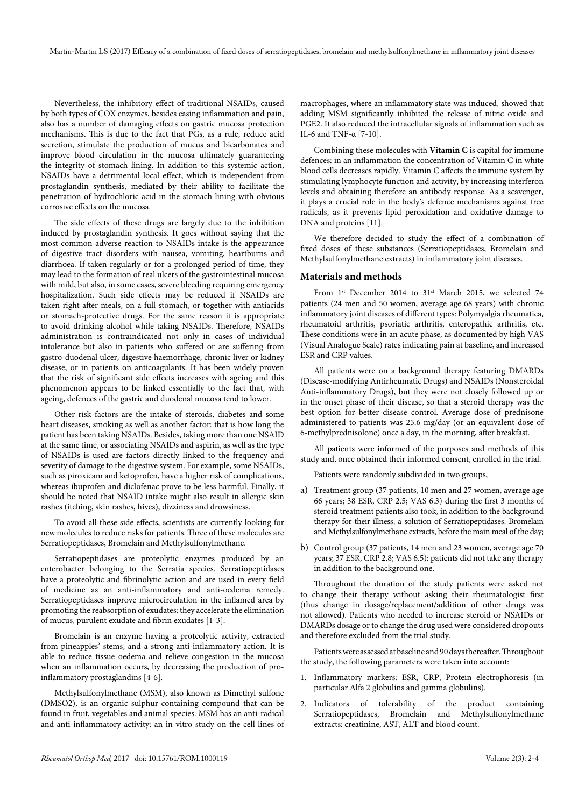Nevertheless, the inhibitory effect of traditional NSAIDs, caused by both types of COX enzymes, besides easing inflammation and pain, also has a number of damaging effects on gastric mucosa protection mechanisms. This is due to the fact that PGs, as a rule, reduce acid secretion, stimulate the production of mucus and bicarbonates and improve blood circulation in the mucosa ultimately guaranteeing the integrity of stomach lining. In addition to this systemic action, NSAIDs have a detrimental local effect, which is independent from prostaglandin synthesis, mediated by their ability to facilitate the penetration of hydrochloric acid in the stomach lining with obvious corrosive effects on the mucosa.

The side effects of these drugs are largely due to the inhibition induced by prostaglandin synthesis. It goes without saying that the most common adverse reaction to NSAIDs intake is the appearance of digestive tract disorders with nausea, vomiting, heartburns and diarrhoea. If taken regularly or for a prolonged period of time, they may lead to the formation of real ulcers of the gastrointestinal mucosa with mild, but also, in some cases, severe bleeding requiring emergency hospitalization. Such side effects may be reduced if NSAIDs are taken right after meals, on a full stomach, or together with antiacids or stomach-protective drugs. For the same reason it is appropriate to avoid drinking alcohol while taking NSAIDs. Therefore, NSAIDs administration is contraindicated not only in cases of individual intolerance but also in patients who suffered or are suffering from gastro-duodenal ulcer, digestive haemorrhage, chronic liver or kidney disease, or in patients on anticoagulants. It has been widely proven that the risk of significant side effects increases with ageing and this phenomenon appears to be linked essentially to the fact that, with ageing, defences of the gastric and duodenal mucosa tend to lower.

Other risk factors are the intake of steroids, diabetes and some heart diseases, smoking as well as another factor: that is how long the patient has been taking NSAIDs. Besides, taking more than one NSAID at the same time, or associating NSAIDs and aspirin, as well as the type of NSAIDs is used are factors directly linked to the frequency and severity of damage to the digestive system. For example, some NSAIDs, such as piroxicam and ketoprofen, have a higher risk of complications, whereas ibuprofen and diclofenac prove to be less harmful. Finally, it should be noted that NSAID intake might also result in allergic skin rashes (itching, skin rashes, hives), dizziness and drowsiness.

To avoid all these side effects, scientists are currently looking for new molecules to reduce risks for patients. Three of these molecules are Serratiopeptidases, Bromelain and Methylsulfonylmethane.

Serratiopeptidases are proteolytic enzymes produced by an enterobacter belonging to the Serratia species. Serratiopeptidases have a proteolytic and fibrinolytic action and are used in every field of medicine as an anti-inflammatory and anti-oedema remedy. Serratiopeptidases improve microcirculation in the inflamed area by promoting the reabsorption of exudates: they accelerate the elimination of mucus, purulent exudate and fibrin exudates [1-3].

Bromelain is an enzyme having a proteolytic activity, extracted from pineapples' stems, and a strong anti-inflammatory action. It is able to reduce tissue oedema and relieve congestion in the mucosa when an inflammation occurs, by decreasing the production of proinflammatory prostaglandins [4-6].

Methylsulfonylmethane (MSM), also known as Dimethyl sulfone (DMSO2), is an organic sulphur-containing compound that can be found in fruit, vegetables and animal species. MSM has an anti-radical and anti-inflammatory activity: an in vitro study on the cell lines of macrophages, where an inflammatory state was induced, showed that adding MSM significantly inhibited the release of nitric oxide and PGE2. It also reduced the intracellular signals of inflammation such as IL-6 and TNF-α [7-10].

Combining these molecules with **Vitamin C** is capital for immune defences: in an inflammation the concentration of Vitamin C in white blood cells decreases rapidly. Vitamin C affects the immune system by stimulating lymphocyte function and activity, by increasing interferon levels and obtaining therefore an antibody response. As a scavenger, it plays a crucial role in the body's defence mechanisms against free radicals, as it prevents lipid peroxidation and oxidative damage to DNA and proteins [11].

We therefore decided to study the effect of a combination of fixed doses of these substances (Serratiopeptidases, Bromelain and Methylsulfonylmethane extracts) in inflammatory joint diseases.

#### **Materials and methods**

From 1<sup>st</sup> December 2014 to 31<sup>st</sup> March 2015, we selected 74 patients (24 men and 50 women, average age 68 years) with chronic inflammatory joint diseases of different types: Polymyalgia rheumatica, rheumatoid arthritis, psoriatic arthritis, enteropathic arthritis, etc. These conditions were in an acute phase, as documented by high VAS (Visual Analogue Scale) rates indicating pain at baseline, and increased ESR and CRP values.

All patients were on a background therapy featuring DMARDs (Disease-modifying Antirheumatic Drugs) and NSAIDs (Nonsteroidal Anti-inflammatory Drugs), but they were not closely followed up or in the onset phase of their disease, so that a steroid therapy was the best option for better disease control. Average dose of prednisone administered to patients was 25.6 mg/day (or an equivalent dose of 6-methylprednisolone) once a day, in the morning, after breakfast.

All patients were informed of the purposes and methods of this study and, once obtained their informed consent, enrolled in the trial.

Patients were randomly subdivided in two groups,

- a) Treatment group (37 patients, 10 men and 27 women, average age 66 years; 38 ESR, CRP 2.5; VAS 6.3) during the first 3 months of steroid treatment patients also took, in addition to the background therapy for their illness, a solution of Serratiopeptidases, Bromelain and Methylsulfonylmethane extracts, before the main meal of the day;
- b) Control group (37 patients, 14 men and 23 women, average age 70 years; 37 ESR, CRP 2.8; VAS 6.5): patients did not take any therapy in addition to the background one.

Throughout the duration of the study patients were asked not to change their therapy without asking their rheumatologist first (thus change in dosage/replacement/addition of other drugs was not allowed). Patients who needed to increase steroid or NSAIDs or DMARDs dosage or to change the drug used were considered dropouts and therefore excluded from the trial study.

Patients were assessed at baseline and 90 days thereafter. Throughout the study, the following parameters were taken into account:

- 1. Inflammatory markers: ESR, CRP, Protein electrophoresis (in particular Alfa 2 globulins and gamma globulins).
- 2. Indicators of tolerability of the product containing Serratiopeptidases, Bromelain and Methylsulfonylmethane extracts: creatinine, AST, ALT and blood count.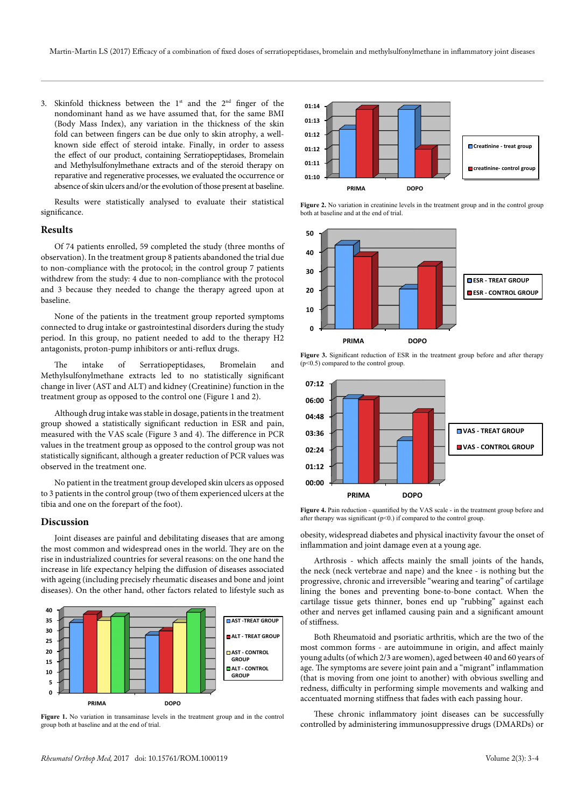3. Skinfold thickness between the  $1^{st}$  and the  $2^{nd}$  finger of the nondominant hand as we have assumed that, for the same BMI (Body Mass Index), any variation in the thickness of the skin fold can between fingers can be due only to skin atrophy, a wellknown side effect of steroid intake. Finally, in order to assess the effect of our product, containing Serratiopeptidases, Bromelain and Methylsulfonylmethane extracts and of the steroid therapy on reparative and regenerative processes, we evaluated the occurrence or absence of skin ulcers and/or the evolution of those present at baseline.

Results were statistically analysed to evaluate their statistical significance.

#### **Results**

Of 74 patients enrolled, 59 completed the study (three months of observation). In the treatment group 8 patients abandoned the trial due to non-compliance with the protocol; in the control group 7 patients withdrew from the study: 4 due to non-compliance with the protocol and 3 because they needed to change the therapy agreed upon at baseline.

None of the patients in the treatment group reported symptoms connected to drug intake or gastrointestinal disorders during the study period. In this group, no patient needed to add to the therapy H2 antagonists, proton-pump inhibitors or anti-reflux drugs.

The intake of Serratiopeptidases, Bromelain and Methylsulfonylmethane extracts led to no statistically significant change in liver (AST and ALT) and kidney (Creatinine) function in the treatment group as opposed to the control one (Figure 1 and 2).

Although drug intake was stable in dosage, patients in the treatment group showed a statistically significant reduction in ESR and pain, measured with the VAS scale (Figure 3 and 4). The difference in PCR values in the treatment group as opposed to the control group was not statistically significant, although a greater reduction of PCR values was observed in the treatment one.

No patient in the treatment group developed skin ulcers as opposed to 3 patients in the control group (two of them experienced ulcers at the tibia and one on the forepart of the foot).

### **Discussion**

Joint diseases are painful and debilitating diseases that are among the most common and widespread ones in the world. They are on the rise in industrialized countries for several reasons: on the one hand the increase in life expectancy helping the diffusion of diseases associated with ageing (including precisely rheumatic diseases and bone and joint diseases). On the other hand, other factors related to lifestyle such as



**Figure 1.** No variation in transaminase levels in the treatment group and in the control group both at baseline and at the end of trial.



Figure 2. No variation in creatinine levels in the treatment group and in the control group both at baseline and at the end of trial.



**Figure 3.** Significant reduction of ESR in the treatment group before and after therapy  $(p<0.5)$  compared to the control group.



**Figure 4.** Pain reduction - quantified by the VAS scale - in the treatment group before and after therapy was significant  $(p<0.)$  if compared to the control group.

obesity, widespread diabetes and physical inactivity favour the onset of inflammation and joint damage even at a young age.

Arthrosis - which affects mainly the small joints of the hands, the neck (neck vertebrae and nape) and the knee - is nothing but the progressive, chronic and irreversible "wearing and tearing" of cartilage lining the bones and preventing bone-to-bone contact. When the cartilage tissue gets thinner, bones end up "rubbing" against each other and nerves get inflamed causing pain and a significant amount of stiffness.

Both Rheumatoid and psoriatic arthritis, which are the two of the most common forms - are autoimmune in origin, and affect mainly young adults (of which 2/3 are women), aged between 40 and 60 years of age. The symptoms are severe joint pain and a "migrant" inflammation (that is moving from one joint to another) with obvious swelling and redness, difficulty in performing simple movements and walking and accentuated morning stiffness that fades with each passing hour.

These chronic inflammatory joint diseases can be successfully controlled by administering immunosuppressive drugs (DMARDs) or